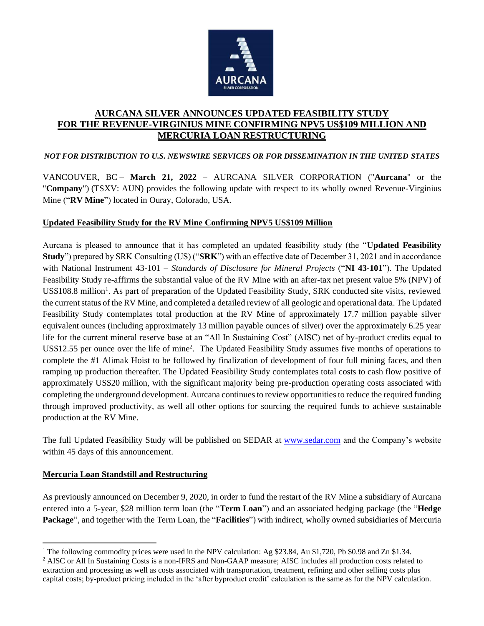

# **AURCANA SILVER ANNOUNCES UPDATED FEASIBILITY STUDY FOR THE REVENUE-VIRGINIUS MINE CONFIRMING NPV5 US\$109 MILLION AND MERCURIA LOAN RESTRUCTURING**

*NOT FOR DISTRIBUTION TO U.S. NEWSWIRE SERVICES OR FOR DISSEMINATION IN THE UNITED STATES*

VANCOUVER, BC – **March 21, 2022** – AURCANA SILVER CORPORATION ("**Aurcana**" or the "**Company**") (TSXV: AUN) provides the following update with respect to its wholly owned Revenue-Virginius Mine ("**RV Mine**") located in Ouray, Colorado, USA.

## **Updated Feasibility Study for the RV Mine Confirming NPV5 US\$109 Million**

Aurcana is pleased to announce that it has completed an updated feasibility study (the "**Updated Feasibility Study**") prepared by SRK Consulting (US) ("**SRK**") with an effective date of December 31, 2021 and in accordance with National Instrument 43-101 – *Standards of Disclosure for Mineral Projects* ("**NI 43-101**"). The Updated Feasibility Study re-affirms the substantial value of the RV Mine with an after-tax net present value 5% (NPV) of US\$108.8 million<sup>1</sup>. As part of preparation of the Updated Feasibility Study, SRK conducted site visits, reviewed the current status of the RV Mine, and completed a detailed review of all geologic and operational data. The Updated Feasibility Study contemplates total production at the RV Mine of approximately 17.7 million payable silver equivalent ounces (including approximately 13 million payable ounces of silver) over the approximately 6.25 year life for the current mineral reserve base at an "All In Sustaining Cost" (AISC) net of by-product credits equal to US\$12.55 per ounce over the life of mine<sup>2</sup>. The Updated Feasibility Study assumes five months of operations to complete the #1 Alimak Hoist to be followed by finalization of development of four full mining faces, and then ramping up production thereafter. The Updated Feasibility Study contemplates total costs to cash flow positive of approximately US\$20 million, with the significant majority being pre-production operating costs associated with completing the underground development. Aurcana continues to review opportunities to reduce the required funding through improved productivity, as well all other options for sourcing the required funds to achieve sustainable production at the RV Mine.

The full Updated Feasibility Study will be published on SEDAR at [www.sedar.com](http://www.wsedar.com/) and the Company's website within 45 days of this announcement.

### **Mercuria Loan Standstill and Restructuring**

As previously announced on December 9, 2020, in order to fund the restart of the RV Mine a subsidiary of Aurcana entered into a 5-year, \$28 million term loan (the "**Term Loan**") and an associated hedging package (the "**Hedge Package**", and together with the Term Loan, the "**Facilities**") with indirect, wholly owned subsidiaries of Mercuria

<sup>&</sup>lt;sup>1</sup> The following commodity prices were used in the NPV calculation: Ag \$23.84, Au \$1,720, Pb \$0.98 and Zn \$1.34.

<sup>2</sup> AISC or All In Sustaining Costs is a non-IFRS and Non-GAAP measure; AISC includes all production costs related to extraction and processing as well as costs associated with transportation, treatment, refining and other selling costs plus capital costs; by-product pricing included in the 'after byproduct credit' calculation is the same as for the NPV calculation.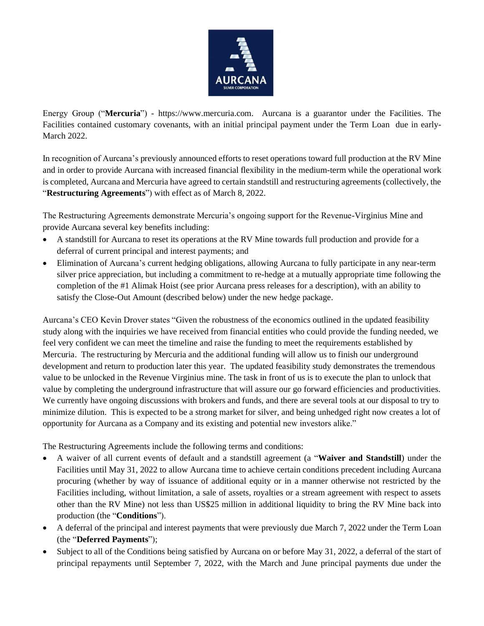

Energy Group ("**Mercuria**") - https://www.mercuria.com. Aurcana is a guarantor under the Facilities. The Facilities contained customary covenants, with an initial principal payment under the Term Loan due in early-March 2022.

In recognition of Aurcana's previously announced efforts to reset operations toward full production at the RV Mine and in order to provide Aurcana with increased financial flexibility in the medium-term while the operational work is completed, Aurcana and Mercuria have agreed to certain standstill and restructuring agreements (collectively, the "**Restructuring Agreements**") with effect as of March 8, 2022.

The Restructuring Agreements demonstrate Mercuria's ongoing support for the Revenue-Virginius Mine and provide Aurcana several key benefits including:

- A standstill for Aurcana to reset its operations at the RV Mine towards full production and provide for a deferral of current principal and interest payments; and
- Elimination of Aurcana's current hedging obligations, allowing Aurcana to fully participate in any near-term silver price appreciation, but including a commitment to re-hedge at a mutually appropriate time following the completion of the #1 Alimak Hoist (see prior Aurcana press releases for a description), with an ability to satisfy the Close-Out Amount (described below) under the new hedge package.

Aurcana's CEO Kevin Drover states "Given the robustness of the economics outlined in the updated feasibility study along with the inquiries we have received from financial entities who could provide the funding needed, we feel very confident we can meet the timeline and raise the funding to meet the requirements established by Mercuria. The restructuring by Mercuria and the additional funding will allow us to finish our underground development and return to production later this year. The updated feasibility study demonstrates the tremendous value to be unlocked in the Revenue Virginius mine. The task in front of us is to execute the plan to unlock that value by completing the underground infrastructure that will assure our go forward efficiencies and productivities. We currently have ongoing discussions with brokers and funds, and there are several tools at our disposal to try to minimize dilution. This is expected to be a strong market for silver, and being unhedged right now creates a lot of opportunity for Aurcana as a Company and its existing and potential new investors alike."

The Restructuring Agreements include the following terms and conditions:

- A waiver of all current events of default and a standstill agreement (a "**Waiver and Standstill**) under the Facilities until May 31, 2022 to allow Aurcana time to achieve certain conditions precedent including Aurcana procuring (whether by way of issuance of additional equity or in a manner otherwise not restricted by the Facilities including, without limitation, a sale of assets, royalties or a stream agreement with respect to assets other than the RV Mine) not less than US\$25 million in additional liquidity to bring the RV Mine back into production (the "**Conditions**").
- A deferral of the principal and interest payments that were previously due March 7, 2022 under the Term Loan (the "**Deferred Payments**");
- Subject to all of the Conditions being satisfied by Aurcana on or before May 31, 2022, a deferral of the start of principal repayments until September 7, 2022, with the March and June principal payments due under the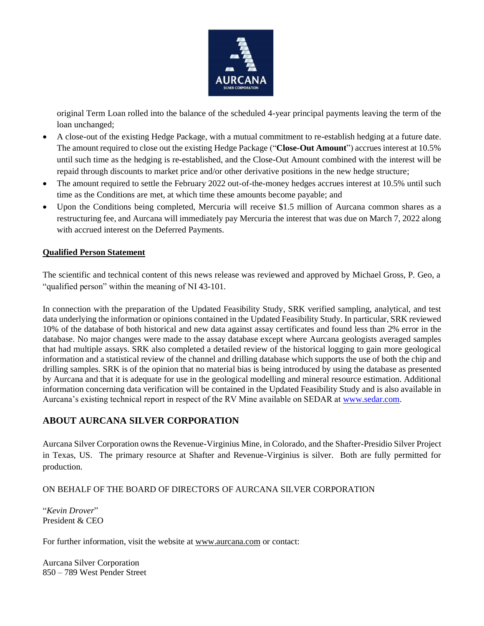

original Term Loan rolled into the balance of the scheduled 4-year principal payments leaving the term of the loan unchanged;

- A close-out of the existing Hedge Package, with a mutual commitment to re-establish hedging at a future date. The amount required to close out the existing Hedge Package ("**Close-Out Amount**") accrues interest at 10.5% until such time as the hedging is re-established, and the Close-Out Amount combined with the interest will be repaid through discounts to market price and/or other derivative positions in the new hedge structure;
- The amount required to settle the February 2022 out-of-the-money hedges accrues interest at 10.5% until such time as the Conditions are met, at which time these amounts become payable; and
- Upon the Conditions being completed, Mercuria will receive \$1.5 million of Aurcana common shares as a restructuring fee, and Aurcana will immediately pay Mercuria the interest that was due on March 7, 2022 along with accrued interest on the Deferred Payments.

### **Qualified Person Statement**

The scientific and technical content of this news release was reviewed and approved by Michael Gross, P. Geo, a "qualified person" within the meaning of NI 43-101.

In connection with the preparation of the Updated Feasibility Study, SRK verified sampling, analytical, and test data underlying the information or opinions contained in the Updated Feasibility Study. In particular, SRK reviewed 10% of the database of both historical and new data against assay certificates and found less than 2% error in the database. No major changes were made to the assay database except where Aurcana geologists averaged samples that had multiple assays. SRK also completed a detailed review of the historical logging to gain more geological information and a statistical review of the channel and drilling database which supports the use of both the chip and drilling samples. SRK is of the opinion that no material bias is being introduced by using the database as presented by Aurcana and that it is adequate for use in the geological modelling and mineral resource estimation. Additional information concerning data verification will be contained in the Updated Feasibility Study and is also available in Aurcana's existing technical report in respect of the RV Mine available on SEDAR at [www.sedar.com.](http://www.sedar.com/)

# **ABOUT AURCANA SILVER CORPORATION**

Aurcana Silver Corporation owns the Revenue-Virginius Mine, in Colorado, and the Shafter-Presidio Silver Project in Texas, US. The primary resource at Shafter and Revenue-Virginius is silver. Both are fully permitted for production.

#### ON BEHALF OF THE BOARD OF DIRECTORS OF AURCANA SILVER CORPORATION

"*Kevin Drover*" President & CEO

For further information, visit the website at [www.aurcana.com](http://www.aurcana.com/) or contact:

Aurcana Silver Corporation 850 – 789 West Pender Street